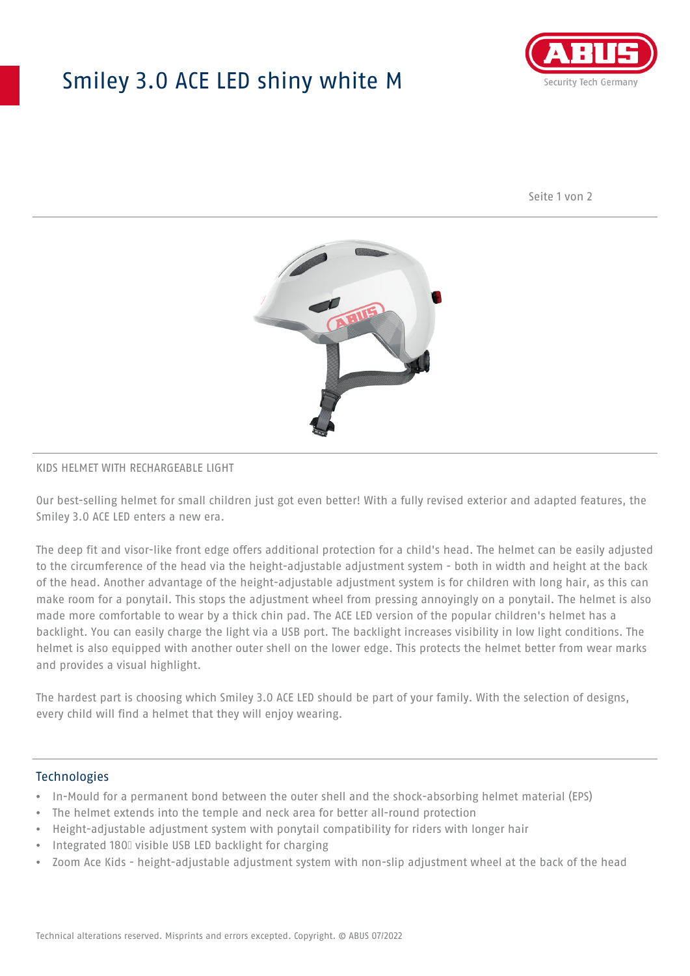## Smiley 3.0 ACE LED shiny white M



Seite 1 von 2



#### KIDS HELMET WITH RECHARGEABLE LIGHT

Our best-selling helmet for small children just got even better! With a fully revised exterior and adapted features, the Smiley 3.0 ACE LED enters a new era.

The deep fit and visor-like front edge offers additional protection for a child's head. The helmet can be easily adjusted to the circumference of the head via the height-adjustable adjustment system - both in width and height at the back of the head. Another advantage of the height-adjustable adjustment system is for children with long hair, as this can make room for a ponytail. This stops the adjustment wheel from pressing annoyingly on a ponytail. The helmet is also made more comfortable to wear by a thick chin pad. The ACE LED version of the popular children's helmet has a backlight. You can easily charge the light via a USB port. The backlight increases visibility in low light conditions. The helmet is also equipped with another outer shell on the lower edge. This protects the helmet better from wear marks and provides a visual highlight.

The hardest part is choosing which Smiley 3.0 ACE LED should be part of your family. With the selection of designs, every child will find a helmet that they will enjoy wearing.

### **Technologies**

- In-Mould for a permanent bond between the outer shell and the shock-absorbing helmet material (EPS)
- The helmet extends into the temple and neck area for better all-round protection
- Height-adjustable adjustment system with ponytail compatibility for riders with longer hair
- Integrated 180⁰ visible USB LED backlight for charging
- Zoom Ace Kids height-adjustable adjustment system with non-slip adjustment wheel at the back of the head